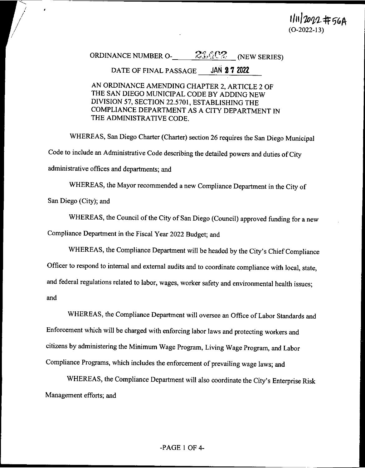1/11/2022#56A

#### $23.4$   $2$  (NEW SERIES) ORDINANCE NUMBER O-

#### **JAN 27 2022** DATE OF FINAL PASSAGE

AN ORDINANCE AMENDING CHAPTER 2, ARTICLE 2 OF THE SAN DIEGO MUNICIPAL CODE BY ADDING NEW DIVISION 57, SECTION 22.5701, ESTABLISHING THE COMPLIANCE DEPARTMENT AS A CITY DEPARTMENT IN THE ADMINISTRATIVE CODE.

WHEREAS, San Diego Charter (Charter) section 26 requires the San Diego Municipal Code to include an Administrative Code describing the detailed powers and duties of City administrative offices and departments; and

WHEREAS, the Mayor recommended a new Compliance Department in the City of

San Diego (City); and

WHEREAS, the Council of the City of San Diego (Council) approved funding for a new

Compliance Department in the Fiscal Year 2022 Budget; and

WHEREAS, the Compliance Department will be headed by the City's Chief Compliance

Officer to respond to internal and external audits and to coordinate compliance with local, state,

and federal regulations related to labor, wages, worker safety and environmental health issues;

and

 $\lambda$ 

WHEREAS, the Compliance Department will oversee an Office of Labor Standards and Enforcement which will be charged with enforcing labor laws and protecting workers and citizens by administering the Minimum Wage Program, Living Wage Program, and Labor Compliance Programs, which includes the enforcement of prevailing wage laws; and

WHEREAS, the Compliance Department will also coordinate the City's Enterprise Risk Management efforts; and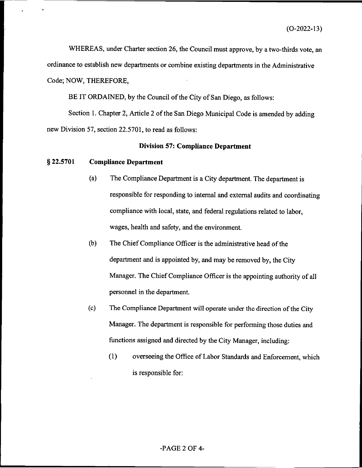WHEREAS, under Charter section 26, the Council must approve, by a two-thirds vote, an ordinance to establish new departments or combine existing departments in the Administrative Code; NOW, THEREFORE,

BE IT ORDAINED, by the Council of the City of San Diego, as follows:

Section 1. Chapter 2, Article 2 of the San Diego Municipal Code is amended by adding new Division 57, section 22.5701, to read as follows:

## **Division 57: Compliance Department**

#### § 22.5701 **Compliance Department**

- $(a)$ The Compliance Department is a City department. The department is responsible for responding to internal and external audits and coordinating compliance with local, state, and federal regulations related to labor, wages, health and safety, and the environment.
- $(b)$ The Chief Compliance Officer is the administrative head of the department and is appointed by, and may be removed by, the City Manager. The Chief Compliance Officer is the appointing authority of all personnel in the department.
- The Compliance Department will operate under the direction of the City  $(c)$ Manager. The department is responsible for performing those duties and functions assigned and directed by the City Manager, including:
	- $(1)$ overseeing the Office of Labor Standards and Enforcement, which is responsible for:

### $-PAGE 2 OF 4-$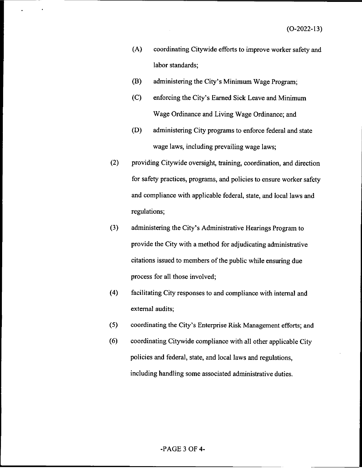- $(A)$ coordinating Citywide efforts to improve worker safety and labor standards;
- (B) administering the City's Minimum Wage Program;
- $(C)$ enforcing the City's Earned Sick Leave and Minimum Wage Ordinance and Living Wage Ordinance; and
- (D) administering City programs to enforce federal and state wage laws, including prevailing wage laws;
- $(2)$ providing Citywide oversight, training, coordination, and direction for safety practices, programs, and policies to ensure worker safety and compliance with applicable federal, state, and local laws and regulations;
- $(3)$ administering the City's Administrative Hearings Program to provide the City with a method for adjudicating administrative citations issued to members of the public while ensuring due process for all those involved;
- $(4)$ facilitating City responses to and compliance with internal and external audits;
- $(5)$ coordinating the City's Enterprise Risk Management efforts; and
- $(6)$ coordinating Citywide compliance with all other applicable City policies and federal, state, and local laws and regulations, including handling some associated administrative duties.

### $-**PAGE** 3$  OF 4 $-$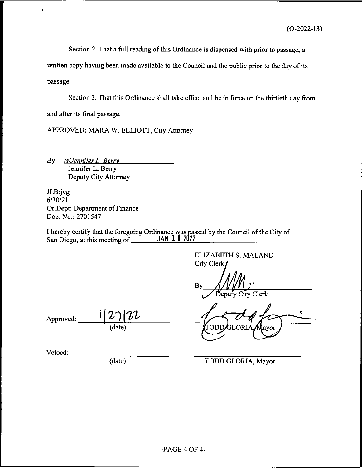Section 2. That a full reading of this Ordinance is dispensed with prior to passage, a

written copy having been made available to the Council and the public prior to the day of its passage.

Section 3. That this Ordinance shall take effect and be in force on the thirtieth day from and after its final passage.

APPROVED: MARA W. ELLIOTT, City Attorney

/s/Jennifer L. Berry By Jennifer L. Berry Deputy City Attorney

JLB:jvg  $6/30/21$ Or. Dept: Department of Finance Doc. No.: 2701547

I hereby certify that the foregoing Ordinance was passed by the Council of the City of San Diego, at this meeting of  $JAN$  1 1 2022 San Diego, at this meeting of

> **ELIZABETH S. MALAND** City Clerk

Bv Deputy City Clerk

Iavor

Approved: (date)

Vetoed:

(date)

TODD GLORIA, Mayor

.OR I

TODI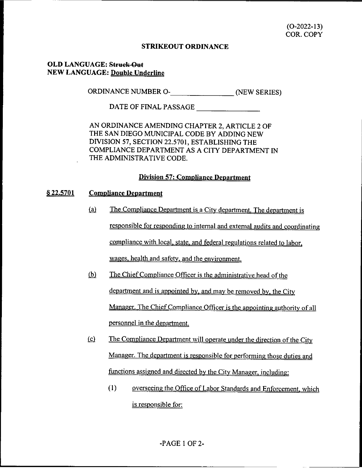## **STRIKEOUT ORDINANCE**

# **OLD LANGUAGE: Struck-Out NEW LANGUAGE: Double Underline**

ORDINANCE NUMBER O- (NEW SERIES)

DATE OF FINAL PASSAGE

AN ORDINANCE AMENDING CHAPTER 2, ARTICLE 2 OF THE SAN DIEGO MUNICIPAL CODE BY ADDING NEW DIVISION 57, SECTION 22.5701, ESTABLISHING THE COMPLIANCE DEPARTMENT AS A CITY DEPARTMENT IN THE ADMINISTRATIVE CODE.

# **Division 57: Compliance Department**

#### § 22,5701 **Compliance Department**

- $(a)$ The Compliance Department is a City department. The department is responsible for responding to internal and external audits and coordinating compliance with local, state, and federal regulations related to labor, wages, health and safety, and the environment.
- The Chief Compliance Officer is the administrative head of the  $(b)$ department and is appointed by, and may be removed by, the City Manager. The Chief Compliance Officer is the appointing authority of all personnel in the department.
- $\omega$ The Compliance Department will operate under the direction of the City Manager. The department is responsible for performing those duties and functions assigned and directed by the City Manager, including:
	- $(1)$ overseeing the Office of Labor Standards and Enforcement, which is responsible for: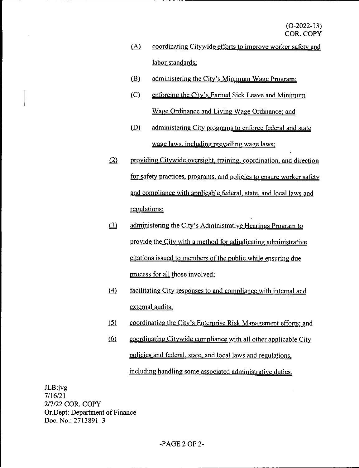- $\Delta$ coordinating Citywide efforts to improve worker safety and labor standards;
- $(B)$ administering the City's Minimum Wage Program;
- $(C)$ enforcing the City's Earned Sick Leave and Minimum Wage Ordinance and Living Wage Ordinance; and
- $(D)$ administering City programs to enforce federal and state wage laws, including prevailing wage laws;
- providing Citywide oversight, training, coordination, and direction  $(2)$ for safety practices, programs, and policies to ensure worker safety and compliance with applicable federal, state, and local laws and regulations;
- $(3)$ administering the City's Administrative Hearings Program to provide the City with a method for adjudicating administrative citations issued to members of the public while ensuring due process for all those involved;
- $\triangleq$ facilitating City responses to and compliance with internal and external audits;
- $(5)$ coordinating the City's Enterprise Risk Management efforts; and
- $\omega$ coordinating Citywide compliance with all other applicable City policies and federal, state, and local laws and regulations, including handling some associated administrative duties.

 $JLB:ivg$  $7/16/21$ 2/7/22 COR. COPY Or.Dept: Department of Finance Doc. No.: 2713891 3

# $-**PAGE 2 OF 2-**$